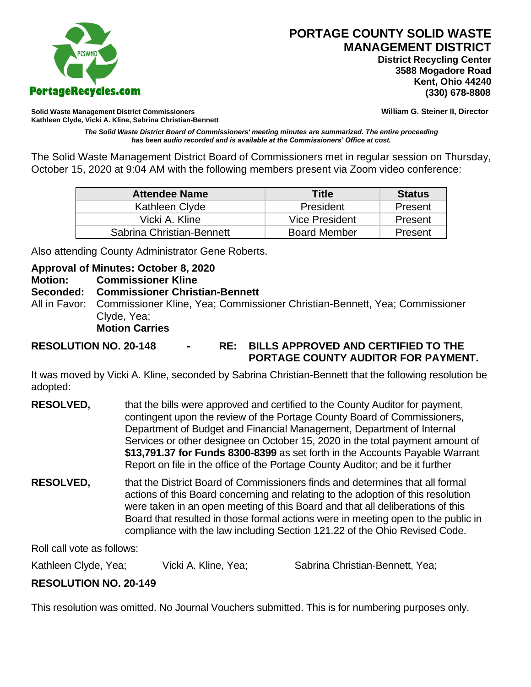

# **PORTAGE COUNTY SOLID WASTE MANAGEMENT DISTRICT**

 **District Recycling Center 3588 Mogadore Road Kent, Ohio 44240**

**Solid Waste Management District Commissioners William G. Steiner II, Director Kathleen Clyde, Vicki A. Kline, Sabrina Christian-Bennett** 

*The Solid Waste District Board of Commissioners' meeting minutes are summarized. The entire proceeding has been audio recorded and is available at the Commissioners' Office at cost.*

The Solid Waste Management District Board of Commissioners met in regular session on Thursday, October 15, 2020 at 9:04 AM with the following members present via Zoom video conference:

| <b>Attendee Name</b>      | <b>Title</b>          | <b>Status</b> |
|---------------------------|-----------------------|---------------|
| Kathleen Clyde            | President             | Present       |
| Vicki A. Kline            | <b>Vice President</b> | Present       |
| Sabrina Christian-Bennett | <b>Board Member</b>   | Present       |

Also attending County Administrator Gene Roberts.

## **Approval of Minutes: October 8, 2020**

**Motion: Commissioner Kline**

#### **Seconded: Commissioner Christian-Bennett**

All in Favor: Commissioner Kline, Yea; Commissioner Christian-Bennett, Yea; Commissioner Clyde, Yea;

**Motion Carries**

**RESOLUTION NO. 20-148 - RE: BILLS APPROVED AND CERTIFIED TO THE PORTAGE COUNTY AUDITOR FOR PAYMENT.** 

It was moved by Vicki A. Kline, seconded by Sabrina Christian-Bennett that the following resolution be adopted:

- **RESOLVED,** that the bills were approved and certified to the County Auditor for payment, contingent upon the review of the Portage County Board of Commissioners, Department of Budget and Financial Management, Department of Internal Services or other designee on October 15, 2020 in the total payment amount of **\$13,791.37 for Funds 8300-8399** as set forth in the Accounts Payable Warrant Report on file in the office of the Portage County Auditor; and be it further
- **RESOLVED,** that the District Board of Commissioners finds and determines that all formal actions of this Board concerning and relating to the adoption of this resolution were taken in an open meeting of this Board and that all deliberations of this Board that resulted in those formal actions were in meeting open to the public in compliance with the law including Section 121.22 of the Ohio Revised Code.

Roll call vote as follows:

Kathleen Clyde, Yea;  $V$ icki A. Kline, Yea; Sabrina Christian-Bennett, Yea;

# **RESOLUTION NO. 20-149**

This resolution was omitted. No Journal Vouchers submitted. This is for numbering purposes only.